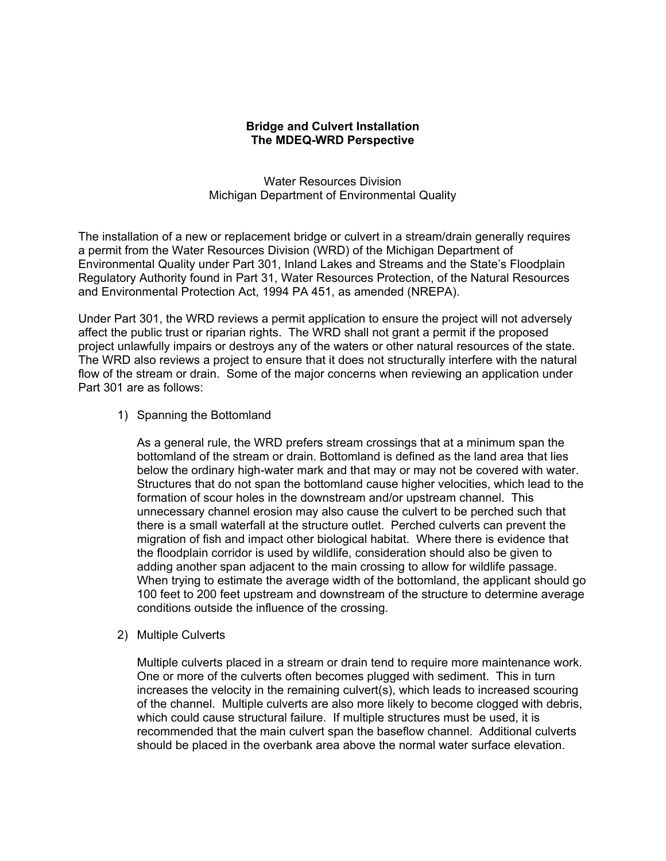## **Bridge and Culvert Installation The MDEQ-WRD Perspective**

Water Resources Division Michigan Department of Environmental Quality

 The installation of a new or replacement bridge or culvert in a stream/drain generally requires a permit from the Water Resources Division (WRD) of the Michigan Department of Environmental Quality under Part 301, Inland Lakes and Streams and the State's Floodplain Regulatory Authority found in Part 31, Water Resources Protection, of the Natural Resources and Environmental Protection Act, 1994 PA 451, as amended (NREPA).

Under Part 301, the WRD reviews a permit application to ensure the project will not adversely affect the public trust or riparian rights. The WRD shall not grant a permit if the proposed project unlawfully impairs or destroys any of the waters or other natural resources of the state. The WRD also reviews a project to ensure that it does not structurally interfere with the natural flow of the stream or drain. Some of the major concerns when reviewing an application under Part 301 are as follows:

1) Spanning the Bottomland

As a general rule, the WRD prefers stream crossings that at a minimum span the bottomland of the stream or drain. Bottomland is defined as the land area that lies below the ordinary high-water mark and that may or may not be covered with water. Structures that do not span the bottomland cause higher velocities, which lead to the formation of scour holes in the downstream and/or upstream channel. This unnecessary channel erosion may also cause the culvert to be perched such that there is a small waterfall at the structure outlet. Perched culverts can prevent the migration of fish and impact other biological habitat. Where there is evidence that the floodplain corridor is used by wildlife, consideration should also be given to adding another span adjacent to the main crossing to allow for wildlife passage. When trying to estimate the average width of the bottomland, the applicant should go 100 feet to 200 feet upstream and downstream of the structure to determine average conditions outside the influence of the crossing.

2) Multiple Culverts

Multiple culverts placed in a stream or drain tend to require more maintenance work. One or more of the culverts often becomes plugged with sediment. This in turn increases the velocity in the remaining culvert(s), which leads to increased scouring of the channel. Multiple culverts are also more likely to become clogged with debris, which could cause structural failure. If multiple structures must be used, it is recommended that the main culvert span the baseflow channel. Additional culverts should be placed in the overbank area above the normal water surface elevation.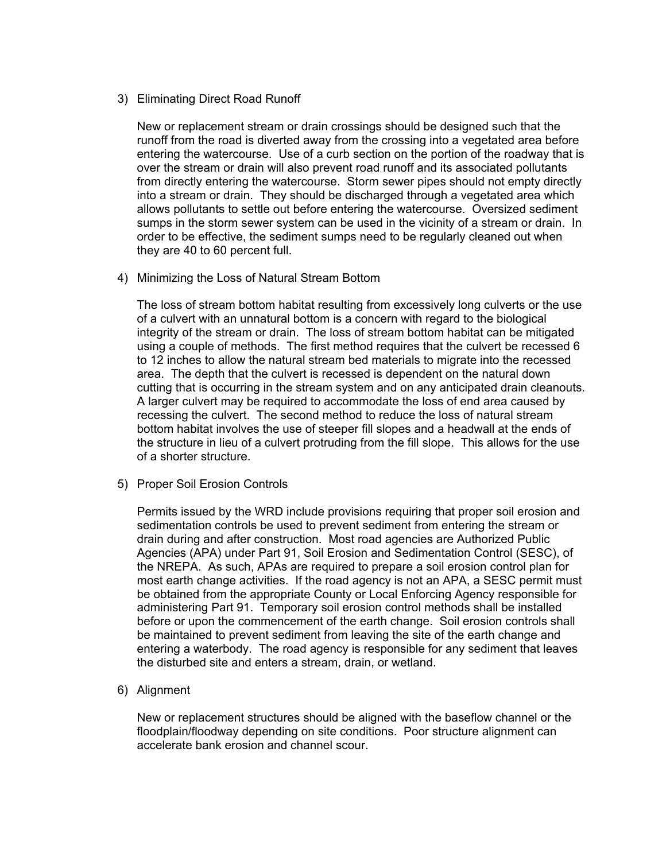#### 3) Eliminating Direct Road Runoff

New or replacement stream or drain crossings should be designed such that the runoff from the road is diverted away from the crossing into a vegetated area before entering the watercourse. Use of a curb section on the portion of the roadway that is over the stream or drain will also prevent road runoff and its associated pollutants from directly entering the watercourse. Storm sewer pipes should not empty directly into a stream or drain. They should be discharged through a vegetated area which allows pollutants to settle out before entering the watercourse. Oversized sediment sumps in the storm sewer system can be used in the vicinity of a stream or drain. In order to be effective, the sediment sumps need to be regularly cleaned out when they are 40 to 60 percent full.

## 4) Minimizing the Loss of Natural Stream Bottom

 cutting that is occurring in the stream system and on any anticipated drain cleanouts. The loss of stream bottom habitat resulting from excessively long culverts or the use of a culvert with an unnatural bottom is a concern with regard to the biological integrity of the stream or drain. The loss of stream bottom habitat can be mitigated using a couple of methods. The first method requires that the culvert be recessed 6 to 12 inches to allow the natural stream bed materials to migrate into the recessed area. The depth that the culvert is recessed is dependent on the natural down A larger culvert may be required to accommodate the loss of end area caused by recessing the culvert. The second method to reduce the loss of natural stream bottom habitat involves the use of steeper fill slopes and a headwall at the ends of the structure in lieu of a culvert protruding from the fill slope. This allows for the use of a shorter structure.

#### 5) Proper Soil Erosion Controls

Permits issued by the WRD include provisions requiring that proper soil erosion and sedimentation controls be used to prevent sediment from entering the stream or drain during and after construction. Most road agencies are Authorized Public Agencies (APA) under Part 91, Soil Erosion and Sedimentation Control (SESC), of the NREPA. As such, APAs are required to prepare a soil erosion control plan for most earth change activities. If the road agency is not an APA, a SESC permit must be obtained from the appropriate County or Local Enforcing Agency responsible for administering Part 91. Temporary soil erosion control methods shall be installed before or upon the commencement of the earth change. Soil erosion controls shall be maintained to prevent sediment from leaving the site of the earth change and entering a waterbody. The road agency is responsible for any sediment that leaves the disturbed site and enters a stream, drain, or wetland.

# 6) Alignment

New or replacement structures should be aligned with the baseflow channel or the floodplain/floodway depending on site conditions. Poor structure alignment can accelerate bank erosion and channel scour.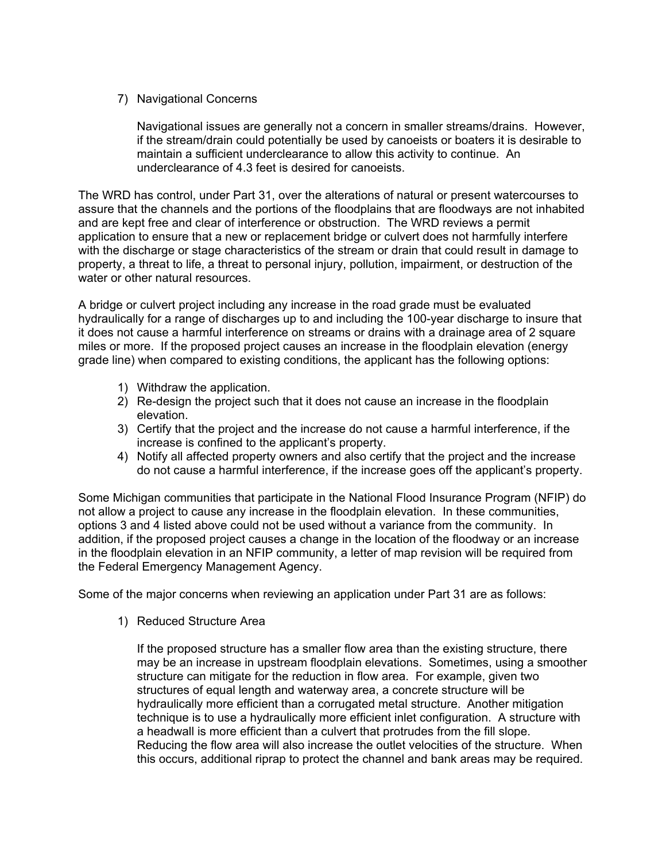# 7) Navigational Concerns

Navigational issues are generally not a concern in smaller streams/drains. However, if the stream/drain could potentially be used by canoeists or boaters it is desirable to maintain a sufficient underclearance to allow this activity to continue. An underclearance of 4.3 feet is desired for canoeists.

The WRD has control, under Part 31, over the alterations of natural or present watercourses to assure that the channels and the portions of the floodplains that are floodways are not inhabited and are kept free and clear of interference or obstruction. The WRD reviews a permit application to ensure that a new or replacement bridge or culvert does not harmfully interfere with the discharge or stage characteristics of the stream or drain that could result in damage to property, a threat to life, a threat to personal injury, pollution, impairment, or destruction of the water or other natural resources.

A bridge or culvert project including any increase in the road grade must be evaluated hydraulically for a range of discharges up to and including the 100-year discharge to insure that it does not cause a harmful interference on streams or drains with a drainage area of 2 square miles or more. If the proposed project causes an increase in the floodplain elevation (energy grade line) when compared to existing conditions, the applicant has the following options:

- 1) Withdraw the application.
- 2) Re-design the project such that it does not cause an increase in the floodplain elevation.
- 3) Certify that the project and the increase do not cause a harmful interference, if the increase is confined to the applicant's property.
- 4) Notify all affected property owners and also certify that the project and the increase do not cause a harmful interference, if the increase goes off the applicant's property.

Some Michigan communities that participate in the National Flood Insurance Program (NFIP) do not allow a project to cause any increase in the floodplain elevation. In these communities, options 3 and 4 listed above could not be used without a variance from the community. In addition, if the proposed project causes a change in the location of the floodway or an increase in the floodplain elevation in an NFIP community, a letter of map revision will be required from the Federal Emergency Management Agency.

Some of the major concerns when reviewing an application under Part 31 are as follows:

1) Reduced Structure Area

If the proposed structure has a smaller flow area than the existing structure, there may be an increase in upstream floodplain elevations. Sometimes, using a smoother structure can mitigate for the reduction in flow area. For example, given two structures of equal length and waterway area, a concrete structure will be hydraulically more efficient than a corrugated metal structure. Another mitigation technique is to use a hydraulically more efficient inlet configuration. A structure with a headwall is more efficient than a culvert that protrudes from the fill slope. Reducing the flow area will also increase the outlet velocities of the structure. When this occurs, additional riprap to protect the channel and bank areas may be required.